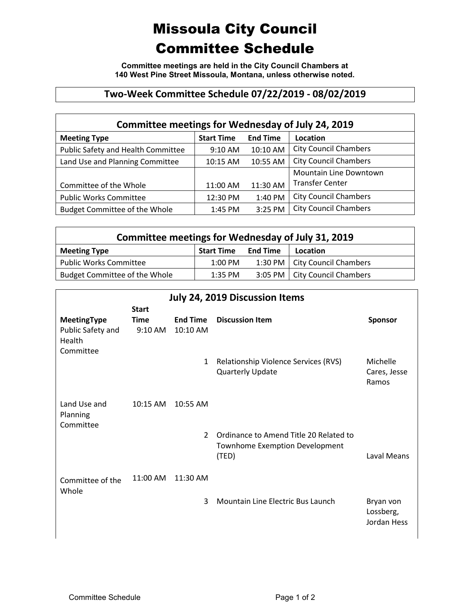## Missoula City Council Committee Schedule

**Committee meetings are held in the City Council Chambers at 140 West Pine Street Missoula, Montana, unless otherwise noted.**

## **Two-Week Committee Schedule 07/22/2019 - 08/02/2019**

| Committee meetings for Wednesday of July 24, 2019 |                   |                 |                               |  |  |  |  |
|---------------------------------------------------|-------------------|-----------------|-------------------------------|--|--|--|--|
| <b>Meeting Type</b>                               | <b>Start Time</b> | <b>End Time</b> | Location                      |  |  |  |  |
| Public Safety and Health Committee                | 9:10 AM           | 10:10 AM        | <b>City Council Chambers</b>  |  |  |  |  |
| Land Use and Planning Committee                   | 10:15 AM          | 10:55 AM        | <b>City Council Chambers</b>  |  |  |  |  |
|                                                   |                   |                 | <b>Mountain Line Downtown</b> |  |  |  |  |
| Committee of the Whole                            | 11:00 AM          | 11:30 AM        | <b>Transfer Center</b>        |  |  |  |  |
| <b>Public Works Committee</b>                     | 12:30 PM          | 1:40 PM         | <b>City Council Chambers</b>  |  |  |  |  |
| <b>Budget Committee of the Whole</b>              | 1:45 PM           | 3:25 PM         | <b>City Council Chambers</b>  |  |  |  |  |

| Committee meetings for Wednesday of July 31, 2019 |                   |                 |                                 |  |  |  |  |
|---------------------------------------------------|-------------------|-----------------|---------------------------------|--|--|--|--|
| <b>Meeting Type</b>                               | <b>Start Time</b> | <b>End Time</b> | Location                        |  |  |  |  |
| <b>Public Works Committee</b>                     | 1:00 PM           |                 | 1:30 PM   City Council Chambers |  |  |  |  |
| Budget Committee of the Whole                     | $1:35$ PM         |                 | 3:05 PM   City Council Chambers |  |  |  |  |

| <b>July 24, 2019 Discussion Items</b> |              |                 |                                         |                        |  |  |
|---------------------------------------|--------------|-----------------|-----------------------------------------|------------------------|--|--|
|                                       | <b>Start</b> |                 |                                         |                        |  |  |
| MeetingType                           | <b>Time</b>  | <b>End Time</b> | <b>Discussion Item</b>                  | <b>Sponsor</b>         |  |  |
| Public Safety and<br>Health           | 9:10 AM      | 10:10 AM        |                                         |                        |  |  |
| Committee                             |              |                 |                                         |                        |  |  |
|                                       |              | $\mathbf{1}$    | Relationship Violence Services (RVS)    | Michelle               |  |  |
|                                       |              |                 | <b>Quarterly Update</b>                 | Cares, Jesse           |  |  |
|                                       |              |                 |                                         | Ramos                  |  |  |
| Land Use and                          | 10:15 AM     | 10:55 AM        |                                         |                        |  |  |
| Planning                              |              |                 |                                         |                        |  |  |
| Committee                             |              |                 |                                         |                        |  |  |
|                                       |              | $\overline{2}$  | Ordinance to Amend Title 20 Related to  |                        |  |  |
|                                       |              |                 | Townhome Exemption Development<br>(TED) | Laval Means            |  |  |
|                                       |              |                 |                                         |                        |  |  |
| Committee of the                      | $11:00$ AM   | $11:30$ AM      |                                         |                        |  |  |
| Whole                                 |              |                 |                                         |                        |  |  |
|                                       |              | 3               | Mountain Line Electric Bus Launch       | Bryan von<br>Lossberg, |  |  |
|                                       |              |                 |                                         | Jordan Hess            |  |  |
|                                       |              |                 |                                         |                        |  |  |